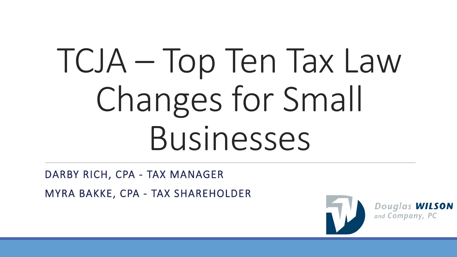# TCJA – Top Ten Tax Law Changes for Small Businesses

DARBY RICH, CPA - TAX MANAGER MYRA BAKKE, CPA - TAX SHAREHOLDER



Douglas **WILSON**<br>and Company, PC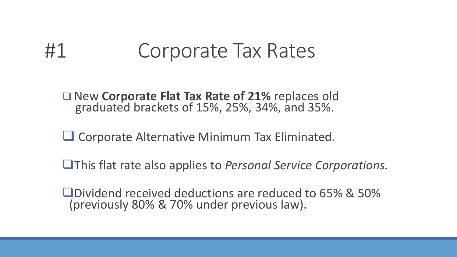#### #1 Corporate Tax Rates

New **Corporate Flat Tax Rate of 21%** replaces old graduated brackets of 15%, 25%, 34%, and 35%.

**□ Corporate Alternative Minimum Tax Eliminated.** 

This flat rate also applies to *Personal Service Corporations.*

Dividend received deductions are reduced to 65% & 50% (previously 80% & 70% under previous law).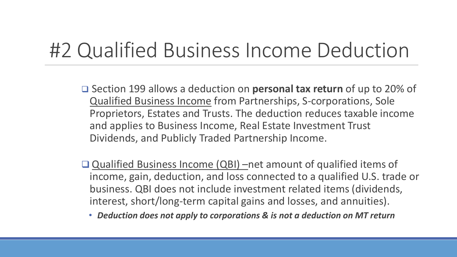#### #2 Qualified Business Income Deduction

- □ Section 199 allows a deduction on **personal tax return** of up to 20% of Qualified Business Income from Partnerships, S-corporations, Sole Proprietors, Estates and Trusts. The deduction reduces taxable income and applies to Business Income, Real Estate Investment Trust Dividends, and Publicly Traded Partnership Income.
- Qualified Business Income (QBI) –net amount of qualified items of income, gain, deduction, and loss connected to a qualified U.S. trade or business. QBI does not include investment related items (dividends, interest, short/long-term capital gains and losses, and annuities).
	- *Deduction does not apply to corporations & is not a deduction on MT return*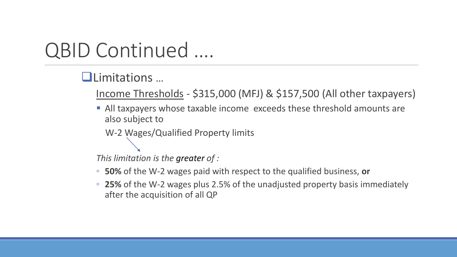#### QBID Continued ….

#### Limitations …

Income Thresholds - \$315,000 (MFJ) & \$157,500 (All other taxpayers)

 All taxpayers whose taxable income exceeds these threshold amounts are also subject to

W-2 Wages/Qualified Property limits

*This limitation is the greater of :*

- **50%** of the W-2 wages paid with respect to the qualified business, **or**
- **25%** of the W-2 wages plus 2.5% of the unadjusted property basis immediately after the acquisition of all QP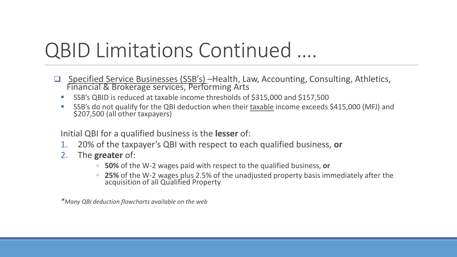#### QBID Limitations Continued ….

- Specified Service Businesses (SSB's) Health, Law, Accounting, Consulting, Athletics, Financial & Brokerage services, Performing Arts
	- SSB's QBID is reduced at taxable income thresholds of \$315,000 and \$157,500
	- SSB's do not qualify for the QBI deduction when their taxable income exceeds \$415,000 (MFJ) and \$207,500 (all other taxpayers)

Initial QBI for a qualified business is the **lesser** of:

- 1. 20% of the taxpayer's QBI with respect to each qualified business, **or**
- 2. The **greater** of:
	- **50%** of the W-2 wages paid with respect to the qualified business, **or**
	- **25%** of the W-2 wages plus 2.5% of the unadjusted property basis immediately after the acquisition of all Qualified Property

*\*Many QBI deduction flowcharts available on the web*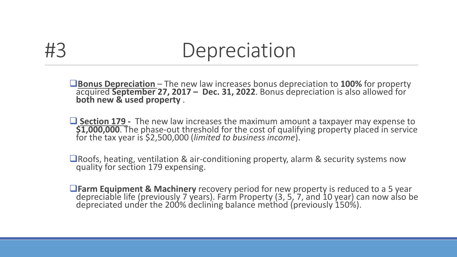#### #3 Depreciation

**<u>Bonus Depreciation</u>** – The new law increases bonus depreciation to 100% for property acquired September 27, 2017 – Dec. 31, 2022. Bonus depreciation is also allowed for both new & used property.

 $\Box$  Section 179 - The new law increases the maximum amount a taxpayer may expense to \$1,000,000. The phase-out threshold for the cost of qualifying property placed in service for the tax year is \$2,500,000 (limited to bu

Roofs, heating, ventilation & air-conditioning property, alarm & security systems now quality for section 179 expensing.

**The Equipment & Machinery** recovery period for new property is reduced to a 5 year depreciable life (previously 7 years). Farm Property (3, 5, 7, and 10 year) can now also be depreciated under the 200% declining balance m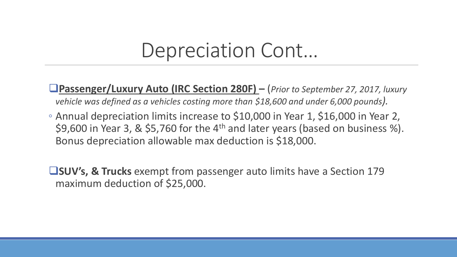#### Depreciation Cont…

**Passenger/Luxury Auto (IRC Section 280F) –** (*Prior to September 27, 2017, luxury vehicle was defined as a vehicles costing more than \$18,600 and under 6,000 pounds).*

◦ Annual depreciation limits increase to \$10,000 in Year 1, \$16,000 in Year 2, \$9,600 in Year 3, & \$5,760 for the  $4<sup>th</sup>$  and later years (based on business %). Bonus depreciation allowable max deduction is \$18,000.

**SUV's, & Trucks** exempt from passenger auto limits have a Section 179 maximum deduction of \$25,000.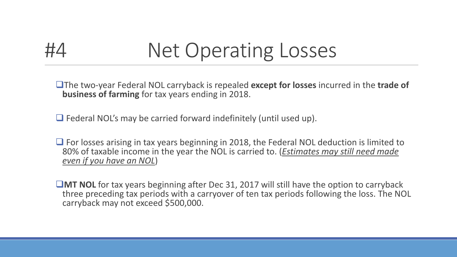

### #4 Net Operating Losses

The two-year Federal NOL carryback is repealed **except for losses** incurred in the **trade of business of farming** for tax years ending in 2018.

 $\Box$  Federal NOL's may be carried forward indefinitely (until used up).

 $\Box$  For losses arising in tax years beginning in 2018, the Federal NOL deduction is limited to 80% of taxable income in the year the NOL is carried to. (*Estimates may still need made even if you have an NOL*)

**MT NOL** for tax years beginning after Dec 31, 2017 will still have the option to carryback three preceding tax periods with a carryover of ten tax periods following the loss. The NOL carryback may not exceed \$500,000.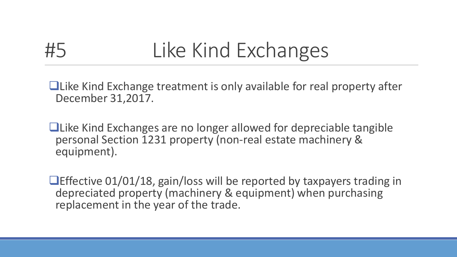## #5 Like Kind Exchanges

Like Kind Exchange treatment is only available for real property after December 31,2017.

Like Kind Exchanges are no longer allowed for depreciable tangible personal Section 1231 property (non-real estate machinery & equipment).

**Effective 01/01/18, gain/loss will be reported by taxpayers trading in** depreciated property (machinery & equipment) when purchasing replacement in the year of the trade.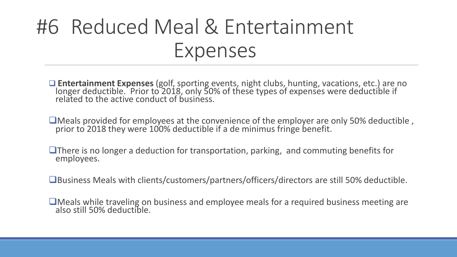### #6 Reduced Meal & Entertainment Expenses

 **Entertainment Expenses** (golf, sporting events, night clubs, hunting, vacations, etc.) are no longer deductible. Prior to 2018, only 50% of these types of expenses were deductible if related to the active conduct of business.

Meals provided for employees at the convenience of the employer are only 50% deductible , prior to 2018 they were 100% deductible if a de minimus fringe benefit.

**There is no longer a deduction for transportation, parking, and commuting benefits for employees.** 

Business Meals with clients/customers/partners/officers/directors are still 50% deductible.

Meals while traveling on business and employee meals for a required business meeting are also still 50% deductible.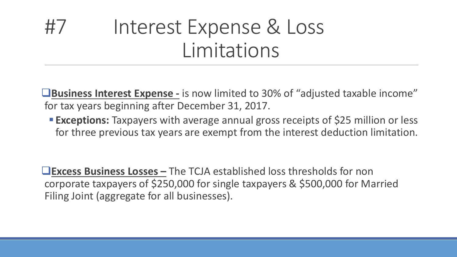#### #7 Interest Expense & Loss Limitations

**Business Interest Expense -** is now limited to 30% of "adjusted taxable income" for tax years beginning after December 31, 2017.

**Exceptions:** Taxpayers with average annual gross receipts of \$25 million or less for three previous tax years are exempt from the interest deduction limitation.

**Excess Business Losses –** The TCJA established loss thresholds for non corporate taxpayers of \$250,000 for single taxpayers & \$500,000 for Married Filing Joint (aggregate for all businesses).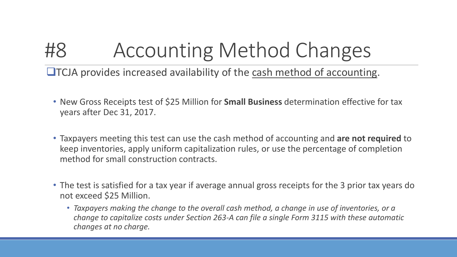### #8 Accounting Method Changes

 $\Box$ TCJA provides increased availability of the cash method of accounting.

- New Gross Receipts test of \$25 Million for **Small Business** determination effective for tax years after Dec 31, 2017.
- Taxpayers meeting this test can use the cash method of accounting and **are not required** to keep inventories, apply uniform capitalization rules, or use the percentage of completion method for small construction contracts.
- The test is satisfied for a tax year if average annual gross receipts for the 3 prior tax years do not exceed \$25 Million.
	- *Taxpayers making the change to the overall cash method, a change in use of inventories, or a change to capitalize costs under Section 263-A can file a single Form 3115 with these automatic changes at no charge.*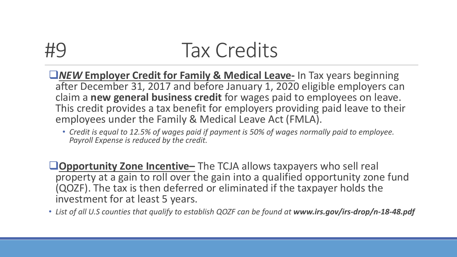#### **Tax Credits**

- *NEW* **Employer Credit for Family & Medical Leave-** In Tax years beginning after December 31, 2017 and before January 1, 2020 eligible employers can claim a **new general business credit** for wages paid to employees on leave. This credit provides a tax benefit for employers providing paid leave to their employees under the Family & Medical Leave Act (FMLA).
	- *Credit is equal to 12.5% of wages paid if payment is 50% of wages normally paid to employee. Payroll Expense is reduced by the credit.*
- **Opportunity Zone Incentive–** The TCJA allows taxpayers who sell real property at a gain to roll over the gain into a qualified opportunity zone fund (QOZF). The tax is then deferred or eliminated if the taxpayer holds the investment for at least 5 years.
- List of all U.S counties that qualify to establish QOZF can be found at www.irs.gov/irs-drop/n-18-48.pdf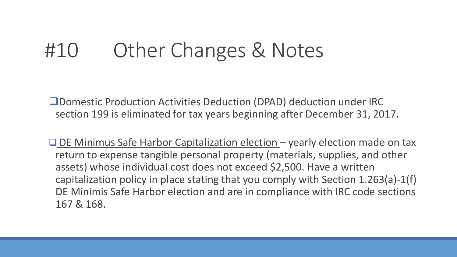#### #10 Other Changes & Notes

Domestic Production Activities Deduction (DPAD) deduction under IRC section 199 is eliminated for tax years beginning after December 31, 2017.

 $\Box$  DE Minimus Safe Harbor Capitalization election – yearly election made on tax return to expense tangible personal property (materials, supplies, and other assets) whose individual cost does not exceed \$2,500. Have a written capitalization policy in place stating that you comply with Section 1.263(a)-1(f) DE Minimis Safe Harbor election and are in compliance with IRC code sections 167 & 168.